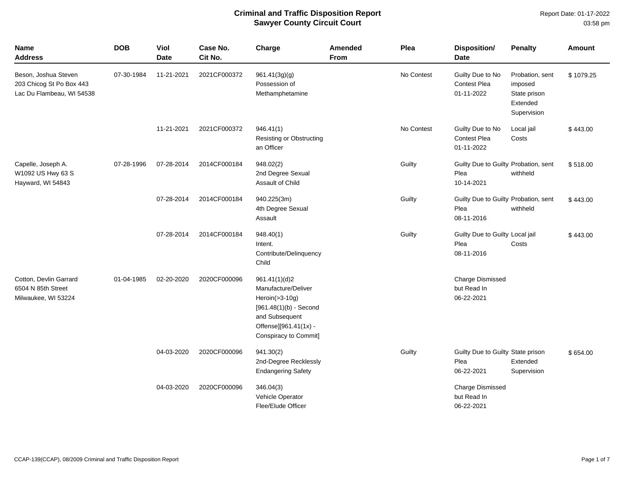| Name<br><b>Address</b>                                                        | <b>DOB</b> | Viol<br><b>Date</b> | Case No.<br>Cit No. | Charge                                                                                                                                                     | Amended<br>From | Plea       | Disposition/<br><b>Date</b>                                | <b>Penalty</b>                                                        | <b>Amount</b> |
|-------------------------------------------------------------------------------|------------|---------------------|---------------------|------------------------------------------------------------------------------------------------------------------------------------------------------------|-----------------|------------|------------------------------------------------------------|-----------------------------------------------------------------------|---------------|
| Beson, Joshua Steven<br>203 Chicog St Po Box 443<br>Lac Du Flambeau, WI 54538 | 07-30-1984 | 11-21-2021          | 2021CF000372        | 961.41(3g)(g)<br>Possession of<br>Methamphetamine                                                                                                          |                 | No Contest | Guilty Due to No<br><b>Contest Plea</b><br>01-11-2022      | Probation, sent<br>imposed<br>State prison<br>Extended<br>Supervision | \$1079.25     |
|                                                                               |            | 11-21-2021          | 2021CF000372        | 946.41(1)<br>Resisting or Obstructing<br>an Officer                                                                                                        |                 | No Contest | Guilty Due to No<br><b>Contest Plea</b><br>01-11-2022      | Local jail<br>Costs                                                   | \$443.00      |
| Capelle, Joseph A.<br>W1092 US Hwy 63 S<br>Hayward, WI 54843                  | 07-28-1996 | 07-28-2014          | 2014CF000184        | 948.02(2)<br>2nd Degree Sexual<br>Assault of Child                                                                                                         |                 | Guilty     | Guilty Due to Guilty Probation, sent<br>Plea<br>10-14-2021 | withheld                                                              | \$518.00      |
|                                                                               |            | 07-28-2014          | 2014CF000184        | 940.225(3m)<br>4th Degree Sexual<br>Assault                                                                                                                |                 | Guilty     | Guilty Due to Guilty Probation, sent<br>Plea<br>08-11-2016 | withheld                                                              | \$443.00      |
|                                                                               |            | 07-28-2014          | 2014CF000184        | 948.40(1)<br>Intent.<br>Contribute/Delinquency<br>Child                                                                                                    |                 | Guilty     | Guilty Due to Guilty Local jail<br>Plea<br>08-11-2016      | Costs                                                                 | \$443.00      |
| Cotton, Devlin Garrard<br>6504 N 85th Street<br>Milwaukee, WI 53224           | 01-04-1985 | 02-20-2020          | 2020CF000096        | 961.41(1)(d)2<br>Manufacture/Deliver<br>Heroin $($ >3-10g)<br>$[961.48(1)(b) - Second$<br>and Subsequent<br>Offense][961.41(1x) -<br>Conspiracy to Commit] |                 |            | <b>Charge Dismissed</b><br>but Read In<br>06-22-2021       |                                                                       |               |
|                                                                               |            | 04-03-2020          | 2020CF000096        | 941.30(2)<br>2nd-Degree Recklessly<br><b>Endangering Safety</b>                                                                                            |                 | Guilty     | Guilty Due to Guilty State prison<br>Plea<br>06-22-2021    | Extended<br>Supervision                                               | \$654.00      |
|                                                                               |            | 04-03-2020          | 2020CF000096        | 346.04(3)<br>Vehicle Operator<br>Flee/Elude Officer                                                                                                        |                 |            | <b>Charge Dismissed</b><br>but Read In<br>06-22-2021       |                                                                       |               |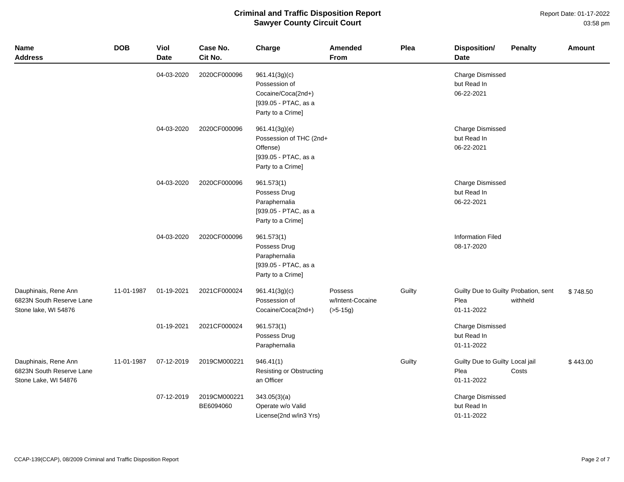Report Date: 01-17-2022 03:58 pm

| <b>Name</b><br><b>Address</b>                                            | <b>DOB</b> | Viol<br><b>Date</b> | Case No.<br>Cit No.       | Charge                                                                                            | <b>Amended</b><br>From                    | Plea   | <b>Disposition/</b><br><b>Date</b>                         | <b>Penalty</b> | Amount   |
|--------------------------------------------------------------------------|------------|---------------------|---------------------------|---------------------------------------------------------------------------------------------------|-------------------------------------------|--------|------------------------------------------------------------|----------------|----------|
|                                                                          |            | 04-03-2020          | 2020CF000096              | 961.41(3g)(c)<br>Possession of<br>Cocaine/Coca(2nd+)<br>[939.05 - PTAC, as a<br>Party to a Crime] |                                           |        | <b>Charge Dismissed</b><br>but Read In<br>06-22-2021       |                |          |
|                                                                          |            | 04-03-2020          | 2020CF000096              | 961.41(3g)(e)<br>Possession of THC (2nd+<br>Offense)<br>[939.05 - PTAC, as a<br>Party to a Crime] |                                           |        | <b>Charge Dismissed</b><br>but Read In<br>06-22-2021       |                |          |
|                                                                          |            | 04-03-2020          | 2020CF000096              | 961.573(1)<br>Possess Drug<br>Paraphernalia<br>[939.05 - PTAC, as a<br>Party to a Crime]          |                                           |        | Charge Dismissed<br>but Read In<br>06-22-2021              |                |          |
|                                                                          |            | 04-03-2020          | 2020CF000096              | 961.573(1)<br>Possess Drug<br>Paraphernalia<br>[939.05 - PTAC, as a<br>Party to a Crime]          |                                           |        | <b>Information Filed</b><br>08-17-2020                     |                |          |
| Dauphinais, Rene Ann<br>6823N South Reserve Lane<br>Stone lake, WI 54876 | 11-01-1987 | 01-19-2021          | 2021CF000024              | 961.41(3g)(c)<br>Possession of<br>Cocaine/Coca(2nd+)                                              | Possess<br>w/Intent-Cocaine<br>$(>5-15g)$ | Guilty | Guilty Due to Guilty Probation, sent<br>Plea<br>01-11-2022 | withheld       | \$748.50 |
|                                                                          |            | 01-19-2021          | 2021CF000024              | 961.573(1)<br>Possess Drug<br>Paraphernalia                                                       |                                           |        | <b>Charge Dismissed</b><br>but Read In<br>01-11-2022       |                |          |
| Dauphinais, Rene Ann<br>6823N South Reserve Lane<br>Stone Lake, WI 54876 | 11-01-1987 | 07-12-2019          | 2019CM000221              | 946.41(1)<br>Resisting or Obstructing<br>an Officer                                               |                                           | Guilty | Guilty Due to Guilty Local jail<br>Plea<br>01-11-2022      | Costs          | \$443.00 |
|                                                                          |            | 07-12-2019          | 2019CM000221<br>BE6094060 | 343.05(3)(a)<br>Operate w/o Valid<br>License(2nd w/in3 Yrs)                                       |                                           |        | <b>Charge Dismissed</b><br>but Read In<br>01-11-2022       |                |          |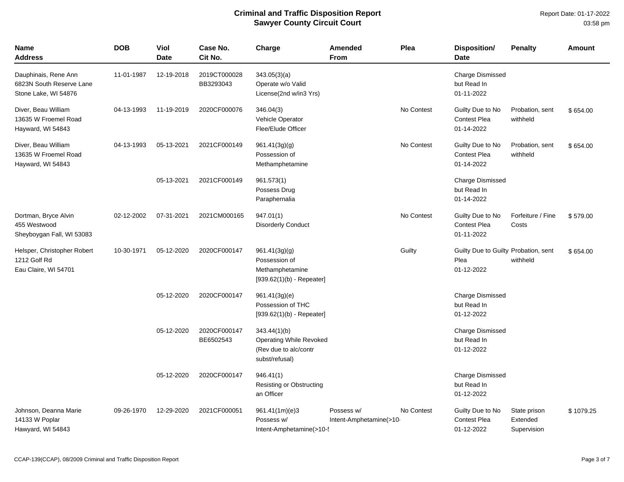Report Date: 01-17-2022 03:58 pm

| <b>Name</b><br>Address                                                   | <b>DOB</b> | Viol<br><b>Date</b> | Case No.<br>Cit No.       | Charge                                                                                    | Amended<br><b>From</b>                | Plea       | <b>Disposition/</b><br><b>Date</b>                         | <b>Penalty</b>                          | <b>Amount</b> |
|--------------------------------------------------------------------------|------------|---------------------|---------------------------|-------------------------------------------------------------------------------------------|---------------------------------------|------------|------------------------------------------------------------|-----------------------------------------|---------------|
| Dauphinais, Rene Ann<br>6823N South Reserve Lane<br>Stone Lake, WI 54876 | 11-01-1987 | 12-19-2018          | 2019CT000028<br>BB3293043 | 343.05(3)(a)<br>Operate w/o Valid<br>License(2nd w/in3 Yrs)                               |                                       |            | <b>Charge Dismissed</b><br>but Read In<br>01-11-2022       |                                         |               |
| Diver, Beau William<br>13635 W Froemel Road<br>Hayward, WI 54843         | 04-13-1993 | 11-19-2019          | 2020CF000076              | 346.04(3)<br>Vehicle Operator<br>Flee/Elude Officer                                       |                                       | No Contest | Guilty Due to No<br><b>Contest Plea</b><br>01-14-2022      | Probation, sent<br>withheld             | \$654.00      |
| Diver, Beau William<br>13635 W Froemel Road<br>Hayward, WI 54843         | 04-13-1993 | 05-13-2021          | 2021CF000149              | 961.41(3g)(g)<br>Possession of<br>Methamphetamine                                         |                                       | No Contest | Guilty Due to No<br>Contest Plea<br>01-14-2022             | Probation, sent<br>withheld             | \$654.00      |
|                                                                          |            | 05-13-2021          | 2021CF000149              | 961.573(1)<br>Possess Drug<br>Paraphernalia                                               |                                       |            | <b>Charge Dismissed</b><br>but Read In<br>01-14-2022       |                                         |               |
| Dortman, Bryce Alvin<br>455 Westwood<br>Sheyboygan Fall, WI 53083        | 02-12-2002 | 07-31-2021          | 2021CM000165              | 947.01(1)<br><b>Disorderly Conduct</b>                                                    |                                       | No Contest | Guilty Due to No<br><b>Contest Plea</b><br>01-11-2022      | Forfeiture / Fine<br>Costs              | \$579.00      |
| Helsper, Christopher Robert<br>1212 Golf Rd<br>Eau Claire, WI 54701      | 10-30-1971 | 05-12-2020          | 2020CF000147              | 961.41(3g)(g)<br>Possession of<br>Methamphetamine<br>$[939.62(1)(b) - Repeated]$          |                                       | Guilty     | Guilty Due to Guilty Probation, sent<br>Plea<br>01-12-2022 | withheld                                | \$654.00      |
|                                                                          |            | 05-12-2020          | 2020CF000147              | 961.41(3g)(e)<br>Possession of THC<br>$[939.62(1)(b) - Repeater]$                         |                                       |            | <b>Charge Dismissed</b><br>but Read In<br>01-12-2022       |                                         |               |
|                                                                          |            | 05-12-2020          | 2020CF000147<br>BE6502543 | 343.44(1)(b)<br><b>Operating While Revoked</b><br>(Rev due to alc/contr<br>subst/refusal) |                                       |            | <b>Charge Dismissed</b><br>but Read In<br>01-12-2022       |                                         |               |
|                                                                          |            | 05-12-2020          | 2020CF000147              | 946.41(1)<br><b>Resisting or Obstructing</b><br>an Officer                                |                                       |            | <b>Charge Dismissed</b><br>but Read In<br>01-12-2022       |                                         |               |
| Johnson, Deanna Marie<br>14133 W Poplar<br>Hawyard, WI 54843             | 09-26-1970 | 12-29-2020          | 2021CF000051              | 961.41(1m)(e)3<br>Possess w/<br>Intent-Amphetamine(>10-                                   | Possess w/<br>Intent-Amphetamine(>10- | No Contest | Guilty Due to No<br><b>Contest Plea</b><br>01-12-2022      | State prison<br>Extended<br>Supervision | \$1079.25     |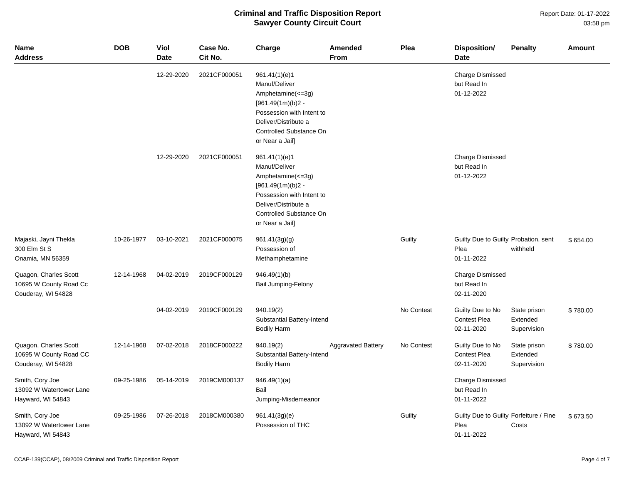Report Date: 01-17-2022 03:58 pm

| <b>Name</b><br><b>Address</b>                                         | <b>DOB</b> | <b>Viol</b><br>Date | Case No.<br>Cit No. | Charge                                                                                                                                                                           | Amended<br>From           | Plea       | Disposition/<br><b>Date</b>                                  | <b>Penalty</b>                          | <b>Amount</b> |
|-----------------------------------------------------------------------|------------|---------------------|---------------------|----------------------------------------------------------------------------------------------------------------------------------------------------------------------------------|---------------------------|------------|--------------------------------------------------------------|-----------------------------------------|---------------|
|                                                                       |            | 12-29-2020          | 2021CF000051        | 961.41(1)(e)1<br>Manuf/Deliver<br>Amphetamine $(<=3g)$<br>$[961.49(1m)(b)2 -$<br>Possession with Intent to<br>Deliver/Distribute a<br>Controlled Substance On<br>or Near a Jail] |                           |            | <b>Charge Dismissed</b><br>but Read In<br>01-12-2022         |                                         |               |
|                                                                       |            | 12-29-2020          | 2021CF000051        | 961.41(1)(e)1<br>Manuf/Deliver<br>Amphetamine(<=3g)<br>$[961.49(1m)(b)2 -$<br>Possession with Intent to<br>Deliver/Distribute a<br>Controlled Substance On<br>or Near a Jail]    |                           |            | <b>Charge Dismissed</b><br>but Read In<br>01-12-2022         |                                         |               |
| Majaski, Jayni Thekla<br>300 Elm St S<br>Onamia, MN 56359             | 10-26-1977 | 03-10-2021          | 2021CF000075        | 961.41(3g)(g)<br>Possession of<br>Methamphetamine                                                                                                                                |                           | Guilty     | Guilty Due to Guilty Probation, sent<br>Plea<br>01-11-2022   | withheld                                | \$654.00      |
| Quagon, Charles Scott<br>10695 W County Road Cc<br>Couderay, WI 54828 | 12-14-1968 | 04-02-2019          | 2019CF000129        | 946.49(1)(b)<br><b>Bail Jumping-Felony</b>                                                                                                                                       |                           |            | <b>Charge Dismissed</b><br>but Read In<br>02-11-2020         |                                         |               |
|                                                                       |            | 04-02-2019          | 2019CF000129        | 940.19(2)<br>Substantial Battery-Intend<br><b>Bodily Harm</b>                                                                                                                    |                           | No Contest | Guilty Due to No<br>Contest Plea<br>02-11-2020               | State prison<br>Extended<br>Supervision | \$780.00      |
| Quagon, Charles Scott<br>10695 W County Road CC<br>Couderay, WI 54828 | 12-14-1968 | 07-02-2018          | 2018CF000222        | 940.19(2)<br>Substantial Battery-Intend<br><b>Bodily Harm</b>                                                                                                                    | <b>Aggravated Battery</b> | No Contest | Guilty Due to No<br><b>Contest Plea</b><br>02-11-2020        | State prison<br>Extended<br>Supervision | \$780.00      |
| Smith, Cory Joe<br>13092 W Watertower Lane<br>Hayward, WI 54843       | 09-25-1986 | 05-14-2019          | 2019CM000137        | 946.49(1)(a)<br>Bail<br>Jumping-Misdemeanor                                                                                                                                      |                           |            | <b>Charge Dismissed</b><br>but Read In<br>01-11-2022         |                                         |               |
| Smith, Cory Joe<br>13092 W Watertower Lane<br>Hayward, WI 54843       | 09-25-1986 | 07-26-2018          | 2018CM000380        | 961.41(3g)(e)<br>Possession of THC                                                                                                                                               |                           | Guilty     | Guilty Due to Guilty Forfeiture / Fine<br>Plea<br>01-11-2022 | Costs                                   | \$673.50      |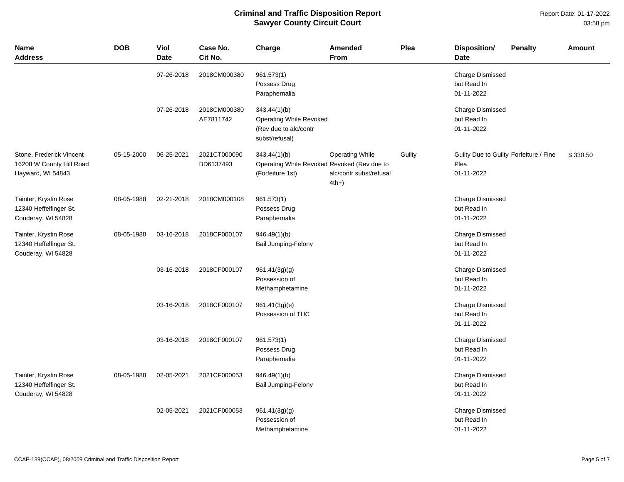Report Date: 01-17-2022 03:58 pm

| <b>Name</b><br><b>Address</b>                                             | <b>DOB</b> | Viol<br><b>Date</b> | Case No.<br>Cit No.       | Charge                                                                             | <b>Amended</b><br><b>From</b>                               | Plea   | Disposition/<br><b>Date</b>                                  | <b>Penalty</b> | <b>Amount</b> |
|---------------------------------------------------------------------------|------------|---------------------|---------------------------|------------------------------------------------------------------------------------|-------------------------------------------------------------|--------|--------------------------------------------------------------|----------------|---------------|
|                                                                           |            | 07-26-2018          | 2018CM000380              | 961.573(1)<br>Possess Drug<br>Paraphernalia                                        |                                                             |        | Charge Dismissed<br>but Read In<br>01-11-2022                |                |               |
|                                                                           |            | 07-26-2018          | 2018CM000380<br>AE7811742 | 343.44(1)(b)<br>Operating While Revoked<br>(Rev due to alc/contr<br>subst/refusal) |                                                             |        | <b>Charge Dismissed</b><br>but Read In<br>01-11-2022         |                |               |
| Stone, Frederick Vincent<br>16208 W County Hill Road<br>Hayward, WI 54843 | 05-15-2000 | 06-25-2021          | 2021CT000090<br>BD6137493 | 343.44(1)(b)<br>Operating While Revoked Revoked (Rev due to<br>(Forfeiture 1st)    | <b>Operating While</b><br>alc/contr subst/refusal<br>$4th+$ | Guilty | Guilty Due to Guilty Forfeiture / Fine<br>Plea<br>01-11-2022 |                | \$330.50      |
| Tainter, Krystin Rose<br>12340 Heffelfinger St.<br>Couderay, WI 54828     | 08-05-1988 | 02-21-2018          | 2018CM000108              | 961.573(1)<br>Possess Drug<br>Paraphernalia                                        |                                                             |        | <b>Charge Dismissed</b><br>but Read In<br>01-11-2022         |                |               |
| Tainter, Krystin Rose<br>12340 Heffelfinger St.<br>Couderay, WI 54828     | 08-05-1988 | 03-16-2018          | 2018CF000107              | 946.49(1)(b)<br>Bail Jumping-Felony                                                |                                                             |        | <b>Charge Dismissed</b><br>but Read In<br>01-11-2022         |                |               |
|                                                                           |            | 03-16-2018          | 2018CF000107              | 961.41(3g)(g)<br>Possession of<br>Methamphetamine                                  |                                                             |        | <b>Charge Dismissed</b><br>but Read In<br>01-11-2022         |                |               |
|                                                                           |            | 03-16-2018          | 2018CF000107              | 961.41(3g)(e)<br>Possession of THC                                                 |                                                             |        | <b>Charge Dismissed</b><br>but Read In<br>01-11-2022         |                |               |
|                                                                           |            | 03-16-2018          | 2018CF000107              | 961.573(1)<br>Possess Drug<br>Paraphernalia                                        |                                                             |        | <b>Charge Dismissed</b><br>but Read In<br>01-11-2022         |                |               |
| Tainter, Krystin Rose<br>12340 Heffelfinger St.<br>Couderay, WI 54828     | 08-05-1988 | 02-05-2021          | 2021CF000053              | 946.49(1)(b)<br>Bail Jumping-Felony                                                |                                                             |        | <b>Charge Dismissed</b><br>but Read In<br>01-11-2022         |                |               |
|                                                                           |            | 02-05-2021          | 2021CF000053              | 961.41(3g)(g)<br>Possession of<br>Methamphetamine                                  |                                                             |        | <b>Charge Dismissed</b><br>but Read In<br>01-11-2022         |                |               |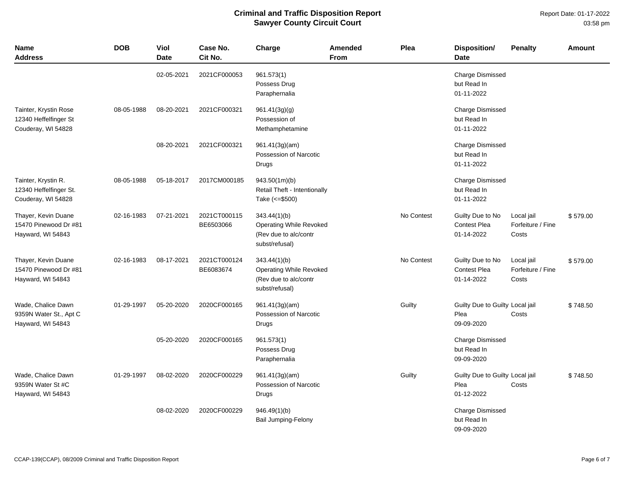| <b>Name</b><br><b>Address</b>                                        | <b>DOB</b> | Viol<br><b>Date</b> | Case No.<br>Cit No.       | Charge                                                                                    | Amended<br><b>From</b> | Plea       | <b>Disposition/</b><br><b>Date</b>                    | <b>Penalty</b>                           | Amount   |
|----------------------------------------------------------------------|------------|---------------------|---------------------------|-------------------------------------------------------------------------------------------|------------------------|------------|-------------------------------------------------------|------------------------------------------|----------|
|                                                                      |            | 02-05-2021          | 2021CF000053              | 961.573(1)<br>Possess Drug<br>Paraphernalia                                               |                        |            | <b>Charge Dismissed</b><br>but Read In<br>01-11-2022  |                                          |          |
| Tainter, Krystin Rose<br>12340 Heffelfinger St<br>Couderay, WI 54828 | 08-05-1988 | 08-20-2021          | 2021CF000321              | 961.41(3g)(g)<br>Possession of<br>Methamphetamine                                         |                        |            | <b>Charge Dismissed</b><br>but Read In<br>01-11-2022  |                                          |          |
|                                                                      |            | 08-20-2021          | 2021CF000321              | 961.41(3g)(am)<br>Possession of Narcotic<br>Drugs                                         |                        |            | <b>Charge Dismissed</b><br>but Read In<br>01-11-2022  |                                          |          |
| Tainter, Krystin R.<br>12340 Heffelfinger St.<br>Couderay, WI 54828  | 08-05-1988 | 05-18-2017          | 2017CM000185              | 943.50(1m)(b)<br>Retail Theft - Intentionally<br>Take (<= \$500)                          |                        |            | <b>Charge Dismissed</b><br>but Read In<br>01-11-2022  |                                          |          |
| Thayer, Kevin Duane<br>15470 Pinewood Dr #81<br>Hayward, WI 54843    | 02-16-1983 | 07-21-2021          | 2021CT000115<br>BE6503066 | 343.44(1)(b)<br><b>Operating While Revoked</b><br>(Rev due to alc/contr<br>subst/refusal) |                        | No Contest | Guilty Due to No<br><b>Contest Plea</b><br>01-14-2022 | Local jail<br>Forfeiture / Fine<br>Costs | \$579.00 |
| Thayer, Kevin Duane<br>15470 Pinewood Dr #81<br>Hayward, WI 54843    | 02-16-1983 | 08-17-2021          | 2021CT000124<br>BE6083674 | 343.44(1)(b)<br><b>Operating While Revoked</b><br>(Rev due to alc/contr<br>subst/refusal) |                        | No Contest | Guilty Due to No<br><b>Contest Plea</b><br>01-14-2022 | Local jail<br>Forfeiture / Fine<br>Costs | \$579.00 |
| Wade, Chalice Dawn<br>9359N Water St., Apt C<br>Hayward, WI 54843    | 01-29-1997 | 05-20-2020          | 2020CF000165              | 961.41(3g)(am)<br>Possession of Narcotic<br>Drugs                                         |                        | Guilty     | Guilty Due to Guilty Local jail<br>Plea<br>09-09-2020 | Costs                                    | \$748.50 |
|                                                                      |            | 05-20-2020          | 2020CF000165              | 961.573(1)<br>Possess Drug<br>Paraphernalia                                               |                        |            | <b>Charge Dismissed</b><br>but Read In<br>09-09-2020  |                                          |          |
| Wade, Chalice Dawn<br>9359N Water St #C<br>Hayward, WI 54843         | 01-29-1997 | 08-02-2020          | 2020CF000229              | 961.41(3g)(am)<br>Possession of Narcotic<br>Drugs                                         |                        | Guilty     | Guilty Due to Guilty Local jail<br>Plea<br>01-12-2022 | Costs                                    | \$748.50 |
|                                                                      |            | 08-02-2020          | 2020CF000229              | 946.49(1)(b)<br><b>Bail Jumping-Felony</b>                                                |                        |            | <b>Charge Dismissed</b><br>but Read In<br>09-09-2020  |                                          |          |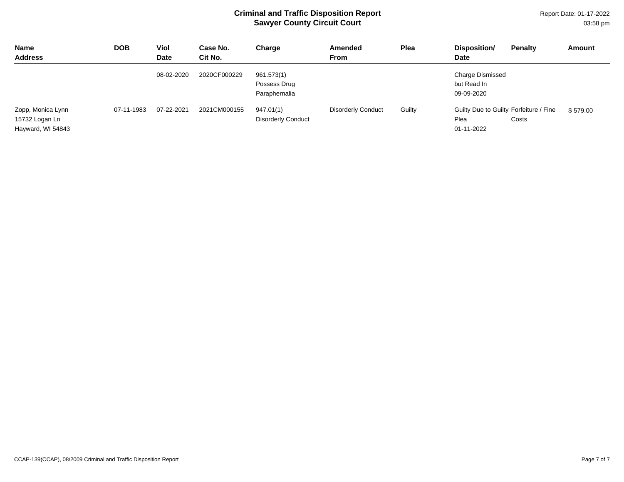Report Date: 01-17-2022 03:58 pm

| <b>Name</b><br><b>Address</b>                            | <b>DOB</b> | Viol<br>Date | Case No.<br>Cit No. | Charge                                      | <b>Amended</b><br><b>From</b> | Plea   | Disposition/<br><b>Date</b>                                  | <b>Penalty</b> | Amount   |
|----------------------------------------------------------|------------|--------------|---------------------|---------------------------------------------|-------------------------------|--------|--------------------------------------------------------------|----------------|----------|
|                                                          |            | 08-02-2020   | 2020CF000229        | 961.573(1)<br>Possess Drug<br>Paraphernalia |                               |        | <b>Charge Dismissed</b><br>but Read In<br>09-09-2020         |                |          |
| Zopp, Monica Lynn<br>15732 Logan Ln<br>Hayward, WI 54843 | 07-11-1983 | 07-22-2021   | 2021CM000155        | 947.01(1)<br><b>Disorderly Conduct</b>      | <b>Disorderly Conduct</b>     | Guilty | Guilty Due to Guilty Forfeiture / Fine<br>Plea<br>01-11-2022 | Costs          | \$579.00 |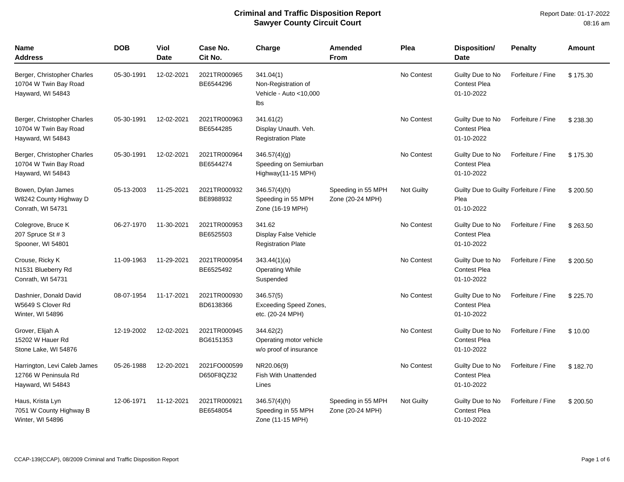| Name<br>Address                                                           | <b>DOB</b> | Viol<br><b>Date</b> | Case No.<br>Cit No.        | Charge                                                            | Amended<br><b>From</b>                 | Plea              | <b>Disposition/</b><br>Date                                  | <b>Penalty</b>    | Amount   |
|---------------------------------------------------------------------------|------------|---------------------|----------------------------|-------------------------------------------------------------------|----------------------------------------|-------------------|--------------------------------------------------------------|-------------------|----------|
| Berger, Christopher Charles<br>10704 W Twin Bay Road<br>Hayward, WI 54843 | 05-30-1991 | 12-02-2021          | 2021TR000965<br>BE6544296  | 341.04(1)<br>Non-Registration of<br>Vehicle - Auto <10,000<br>lbs |                                        | No Contest        | Guilty Due to No<br><b>Contest Plea</b><br>01-10-2022        | Forfeiture / Fine | \$175.30 |
| Berger, Christopher Charles<br>10704 W Twin Bay Road<br>Hayward, WI 54843 | 05-30-1991 | 12-02-2021          | 2021TR000963<br>BE6544285  | 341.61(2)<br>Display Unauth. Veh.<br><b>Registration Plate</b>    |                                        | No Contest        | Guilty Due to No<br><b>Contest Plea</b><br>01-10-2022        | Forfeiture / Fine | \$238.30 |
| Berger, Christopher Charles<br>10704 W Twin Bay Road<br>Hayward, WI 54843 | 05-30-1991 | 12-02-2021          | 2021TR000964<br>BE6544274  | 346.57(4)(g)<br>Speeding on Semiurban<br>Highway(11-15 MPH)       |                                        | No Contest        | Guilty Due to No<br><b>Contest Plea</b><br>01-10-2022        | Forfeiture / Fine | \$175.30 |
| Bowen, Dylan James<br>W8242 County Highway D<br>Conrath, WI 54731         | 05-13-2003 | 11-25-2021          | 2021TR000932<br>BE8988932  | $346.57(4)$ (h)<br>Speeding in 55 MPH<br>Zone (16-19 MPH)         | Speeding in 55 MPH<br>Zone (20-24 MPH) | <b>Not Guilty</b> | Guilty Due to Guilty Forfeiture / Fine<br>Plea<br>01-10-2022 |                   | \$200.50 |
| Colegrove, Bruce K<br>207 Spruce St # 3<br>Spooner, WI 54801              | 06-27-1970 | 11-30-2021          | 2021TR000953<br>BE6525503  | 341.62<br>Display False Vehicle<br><b>Registration Plate</b>      |                                        | No Contest        | Guilty Due to No<br><b>Contest Plea</b><br>01-10-2022        | Forfeiture / Fine | \$263.50 |
| Crouse, Ricky K<br>N1531 Blueberry Rd<br>Conrath, WI 54731                | 11-09-1963 | 11-29-2021          | 2021TR000954<br>BE6525492  | 343.44(1)(a)<br><b>Operating While</b><br>Suspended               |                                        | No Contest        | Guilty Due to No<br><b>Contest Plea</b><br>01-10-2022        | Forfeiture / Fine | \$200.50 |
| Dashnier, Donald David<br>W5649 S Clover Rd<br>Winter, WI 54896           | 08-07-1954 | 11-17-2021          | 2021TR000930<br>BD6138366  | 346.57(5)<br><b>Exceeding Speed Zones,</b><br>etc. (20-24 MPH)    |                                        | No Contest        | Guilty Due to No<br><b>Contest Plea</b><br>01-10-2022        | Forfeiture / Fine | \$225.70 |
| Grover, Elijah A<br>15202 W Hauer Rd<br>Stone Lake, WI 54876              | 12-19-2002 | 12-02-2021          | 2021TR000945<br>BG6151353  | 344.62(2)<br>Operating motor vehicle<br>w/o proof of insurance    |                                        | No Contest        | Guilty Due to No<br><b>Contest Plea</b><br>01-10-2022        | Forfeiture / Fine | \$10.00  |
| Harrington, Levi Caleb James<br>12766 W Peninsula Rd<br>Hayward, WI 54843 | 05-26-1988 | 12-20-2021          | 2021FO000599<br>D650F8QZ32 | NR20.06(9)<br><b>Fish With Unattended</b><br>Lines                |                                        | No Contest        | Guilty Due to No<br><b>Contest Plea</b><br>01-10-2022        | Forfeiture / Fine | \$182.70 |
| Haus, Krista Lyn<br>7051 W County Highway B<br>Winter, WI 54896           | 12-06-1971 | 11-12-2021          | 2021TR000921<br>BE6548054  | $346.57(4)$ (h)<br>Speeding in 55 MPH<br>Zone (11-15 MPH)         | Speeding in 55 MPH<br>Zone (20-24 MPH) | <b>Not Guilty</b> | Guilty Due to No<br><b>Contest Plea</b><br>01-10-2022        | Forfeiture / Fine | \$200.50 |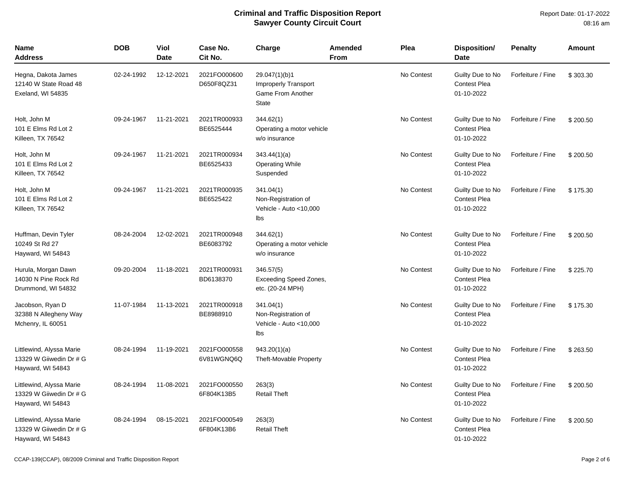| Name<br>Address                                                          | <b>DOB</b> | Viol<br><b>Date</b> | Case No.<br>Cit No.        | Charge                                                                            | <b>Amended</b><br><b>From</b> | Plea       | Disposition/<br><b>Date</b>                           | <b>Penalty</b>    | <b>Amount</b> |
|--------------------------------------------------------------------------|------------|---------------------|----------------------------|-----------------------------------------------------------------------------------|-------------------------------|------------|-------------------------------------------------------|-------------------|---------------|
| Hegna, Dakota James<br>12140 W State Road 48<br>Exeland, WI 54835        | 02-24-1992 | 12-12-2021          | 2021FO000600<br>D650F8QZ31 | 29.047(1)(b)1<br>Improperly Transport<br><b>Game From Another</b><br><b>State</b> |                               | No Contest | Guilty Due to No<br><b>Contest Plea</b><br>01-10-2022 | Forfeiture / Fine | \$303.30      |
| Holt, John M<br>101 E Elms Rd Lot 2<br>Killeen, TX 76542                 | 09-24-1967 | 11-21-2021          | 2021TR000933<br>BE6525444  | 344.62(1)<br>Operating a motor vehicle<br>w/o insurance                           |                               | No Contest | Guilty Due to No<br><b>Contest Plea</b><br>01-10-2022 | Forfeiture / Fine | \$200.50      |
| Holt, John M<br>101 E Elms Rd Lot 2<br>Killeen, TX 76542                 | 09-24-1967 | 11-21-2021          | 2021TR000934<br>BE6525433  | 343.44(1)(a)<br><b>Operating While</b><br>Suspended                               |                               | No Contest | Guilty Due to No<br>Contest Plea<br>01-10-2022        | Forfeiture / Fine | \$200.50      |
| Holt, John M<br>101 E Elms Rd Lot 2<br>Killeen, TX 76542                 | 09-24-1967 | 11-21-2021          | 2021TR000935<br>BE6525422  | 341.04(1)<br>Non-Registration of<br>Vehicle - Auto <10,000<br>Ibs                 |                               | No Contest | Guilty Due to No<br><b>Contest Plea</b><br>01-10-2022 | Forfeiture / Fine | \$175.30      |
| Huffman, Devin Tyler<br>10249 St Rd 27<br>Hayward, WI 54843              | 08-24-2004 | 12-02-2021          | 2021TR000948<br>BE6083792  | 344.62(1)<br>Operating a motor vehicle<br>w/o insurance                           |                               | No Contest | Guilty Due to No<br><b>Contest Plea</b><br>01-10-2022 | Forfeiture / Fine | \$200.50      |
| Hurula, Morgan Dawn<br>14030 N Pine Rock Rd<br>Drummond, WI 54832        | 09-20-2004 | 11-18-2021          | 2021TR000931<br>BD6138370  | 346.57(5)<br><b>Exceeding Speed Zones,</b><br>etc. (20-24 MPH)                    |                               | No Contest | Guilty Due to No<br><b>Contest Plea</b><br>01-10-2022 | Forfeiture / Fine | \$225.70      |
| Jacobson, Ryan D<br>32388 N Allegheny Way<br>Mchenry, IL 60051           | 11-07-1984 | 11-13-2021          | 2021TR000918<br>BE8988910  | 341.04(1)<br>Non-Registration of<br>Vehicle - Auto <10,000<br>Ibs                 |                               | No Contest | Guilty Due to No<br><b>Contest Plea</b><br>01-10-2022 | Forfeiture / Fine | \$175.30      |
| Littlewind, Alyssa Marie<br>13329 W Giiwedin Dr # G<br>Hayward, WI 54843 | 08-24-1994 | 11-19-2021          | 2021FO000558<br>6V81WGNQ6Q | 943.20(1)(a)<br><b>Theft-Movable Property</b>                                     |                               | No Contest | Guilty Due to No<br><b>Contest Plea</b><br>01-10-2022 | Forfeiture / Fine | \$263.50      |
| Littlewind, Alyssa Marie<br>13329 W Giiwedin Dr # G<br>Hayward, WI 54843 | 08-24-1994 | 11-08-2021          | 2021FO000550<br>6F804K13B5 | 263(3)<br><b>Retail Theft</b>                                                     |                               | No Contest | Guilty Due to No<br><b>Contest Plea</b><br>01-10-2022 | Forfeiture / Fine | \$200.50      |
| Littlewind, Alyssa Marie<br>13329 W Giiwedin Dr # G<br>Hayward, WI 54843 | 08-24-1994 | 08-15-2021          | 2021FO000549<br>6F804K13B6 | 263(3)<br><b>Retail Theft</b>                                                     |                               | No Contest | Guilty Due to No<br><b>Contest Plea</b><br>01-10-2022 | Forfeiture / Fine | \$200.50      |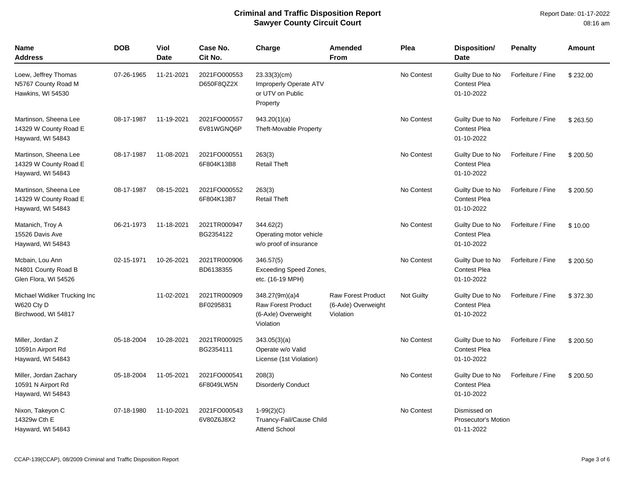| <b>Name</b><br><b>Address</b>                                       | <b>DOB</b> | <b>Viol</b><br><b>Date</b> | Case No.<br>Cit No.        | Charge                                                                          | <b>Amended</b><br><b>From</b>                                 | Plea       | <b>Disposition/</b><br><b>Date</b>                       | <b>Penalty</b>    | Amount   |
|---------------------------------------------------------------------|------------|----------------------------|----------------------------|---------------------------------------------------------------------------------|---------------------------------------------------------------|------------|----------------------------------------------------------|-------------------|----------|
| Loew, Jeffrey Thomas<br>N5767 County Road M<br>Hawkins, WI 54530    | 07-26-1965 | 11-21-2021                 | 2021FO000553<br>D650F8QZ2X | 23.33(3)(cm)<br>Improperly Operate ATV<br>or UTV on Public<br>Property          |                                                               | No Contest | Guilty Due to No<br><b>Contest Plea</b><br>01-10-2022    | Forfeiture / Fine | \$232.00 |
| Martinson, Sheena Lee<br>14329 W County Road E<br>Hayward, WI 54843 | 08-17-1987 | 11-19-2021                 | 2021FO000557<br>6V81WGNQ6P | 943.20(1)(a)<br><b>Theft-Movable Property</b>                                   |                                                               | No Contest | Guilty Due to No<br><b>Contest Plea</b><br>01-10-2022    | Forfeiture / Fine | \$263.50 |
| Martinson, Sheena Lee<br>14329 W County Road E<br>Hayward, WI 54843 | 08-17-1987 | 11-08-2021                 | 2021FO000551<br>6F804K13B8 | 263(3)<br><b>Retail Theft</b>                                                   |                                                               | No Contest | Guilty Due to No<br><b>Contest Plea</b><br>01-10-2022    | Forfeiture / Fine | \$200.50 |
| Martinson, Sheena Lee<br>14329 W County Road E<br>Hayward, WI 54843 | 08-17-1987 | 08-15-2021                 | 2021FO000552<br>6F804K13B7 | 263(3)<br><b>Retail Theft</b>                                                   |                                                               | No Contest | Guilty Due to No<br><b>Contest Plea</b><br>01-10-2022    | Forfeiture / Fine | \$200.50 |
| Matanich, Troy A<br>15526 Davis Ave<br>Hayward, WI 54843            | 06-21-1973 | 11-18-2021                 | 2021TR000947<br>BG2354122  | 344.62(2)<br>Operating motor vehicle<br>w/o proof of insurance                  |                                                               | No Contest | Guilty Due to No<br>Contest Plea<br>01-10-2022           | Forfeiture / Fine | \$10.00  |
| Mcbain, Lou Ann<br>N4801 County Road B<br>Glen Flora, WI 54526      | 02-15-1971 | 10-26-2021                 | 2021TR000906<br>BD6138355  | 346.57(5)<br><b>Exceeding Speed Zones,</b><br>etc. (16-19 MPH)                  |                                                               | No Contest | Guilty Due to No<br><b>Contest Plea</b><br>01-10-2022    | Forfeiture / Fine | \$200.50 |
| Michael Widiker Trucking Inc<br>W620 Cty D<br>Birchwood, WI 54817   |            | 11-02-2021                 | 2021TR000909<br>BF0295831  | 348.27(9m)(a)4<br><b>Raw Forest Product</b><br>(6-Axle) Overweight<br>Violation | <b>Raw Forest Product</b><br>(6-Axle) Overweight<br>Violation | Not Guilty | Guilty Due to No<br><b>Contest Plea</b><br>01-10-2022    | Forfeiture / Fine | \$372.30 |
| Miller, Jordan Z<br>10591n Airport Rd<br>Hayward, WI 54843          | 05-18-2004 | 10-28-2021                 | 2021TR000925<br>BG2354111  | 343.05(3)(a)<br>Operate w/o Valid<br>License (1st Violation)                    |                                                               | No Contest | Guilty Due to No<br>Contest Plea<br>01-10-2022           | Forfeiture / Fine | \$200.50 |
| Miller, Jordan Zachary<br>10591 N Airport Rd<br>Hayward, WI 54843   | 05-18-2004 | 11-05-2021                 | 2021FO000541<br>6F8049LW5N | 208(3)<br><b>Disorderly Conduct</b>                                             |                                                               | No Contest | Guilty Due to No<br><b>Contest Plea</b><br>01-10-2022    | Forfeiture / Fine | \$200.50 |
| Nixon, Takeyon C<br>14329w Cth E<br>Hayward, WI 54843               | 07-18-1980 | 11-10-2021                 | 2021FO000543<br>6V80Z6J8X2 | $1-99(2)(C)$<br>Truancy-Fail/Cause Child<br><b>Attend School</b>                |                                                               | No Contest | Dismissed on<br><b>Prosecutor's Motion</b><br>01-11-2022 |                   |          |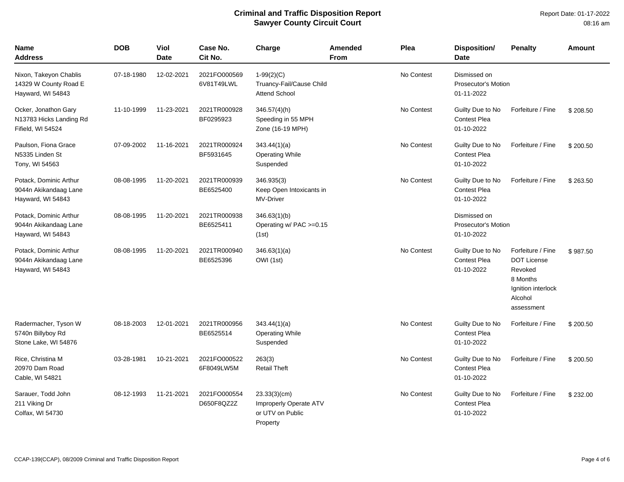| Name<br><b>Address</b>                                               | <b>DOB</b> | Viol<br><b>Date</b> | Case No.<br>Cit No.        | Charge                                                                 | <b>Amended</b><br><b>From</b> | Plea       | <b>Disposition/</b><br><b>Date</b>                       | <b>Penalty</b>                                                                                                | Amount   |
|----------------------------------------------------------------------|------------|---------------------|----------------------------|------------------------------------------------------------------------|-------------------------------|------------|----------------------------------------------------------|---------------------------------------------------------------------------------------------------------------|----------|
| Nixon, Takeyon Chablis<br>14329 W County Road E<br>Hayward, WI 54843 | 07-18-1980 | 12-02-2021          | 2021FO000569<br>6V81T49LWL | $1-99(2)(C)$<br>Truancy-Fail/Cause Child<br><b>Attend School</b>       |                               | No Contest | Dismissed on<br><b>Prosecutor's Motion</b><br>01-11-2022 |                                                                                                               |          |
| Ocker, Jonathon Gary<br>N13783 Hicks Landing Rd<br>Fifield, WI 54524 | 11-10-1999 | 11-23-2021          | 2021TR000928<br>BF0295923  | $346.57(4)$ (h)<br>Speeding in 55 MPH<br>Zone (16-19 MPH)              |                               | No Contest | Guilty Due to No<br><b>Contest Plea</b><br>01-10-2022    | Forfeiture / Fine                                                                                             | \$208.50 |
| Paulson, Fiona Grace<br>N5335 Linden St<br>Tony, WI 54563            | 07-09-2002 | 11-16-2021          | 2021TR000924<br>BF5931645  | 343.44(1)(a)<br><b>Operating While</b><br>Suspended                    |                               | No Contest | Guilty Due to No<br><b>Contest Plea</b><br>01-10-2022    | Forfeiture / Fine                                                                                             | \$200.50 |
| Potack, Dominic Arthur<br>9044n Akikandaag Lane<br>Hayward, WI 54843 | 08-08-1995 | 11-20-2021          | 2021TR000939<br>BE6525400  | 346.935(3)<br>Keep Open Intoxicants in<br>MV-Driver                    |                               | No Contest | Guilty Due to No<br><b>Contest Plea</b><br>01-10-2022    | Forfeiture / Fine                                                                                             | \$263.50 |
| Potack, Dominic Arthur<br>9044n Akikandaag Lane<br>Hayward, WI 54843 | 08-08-1995 | 11-20-2021          | 2021TR000938<br>BE6525411  | 346.63(1)(b)<br>Operating w/ PAC >=0.15<br>(1st)                       |                               |            | Dismissed on<br><b>Prosecutor's Motion</b><br>01-10-2022 |                                                                                                               |          |
| Potack, Dominic Arthur<br>9044n Akikandaag Lane<br>Hayward, WI 54843 | 08-08-1995 | 11-20-2021          | 2021TR000940<br>BE6525396  | 346.63(1)(a)<br>OWI (1st)                                              |                               | No Contest | Guilty Due to No<br><b>Contest Plea</b><br>01-10-2022    | Forfeiture / Fine<br><b>DOT License</b><br>Revoked<br>8 Months<br>Ignition interlock<br>Alcohol<br>assessment | \$987.50 |
| Radermacher, Tyson W<br>5740n Billyboy Rd<br>Stone Lake, WI 54876    | 08-18-2003 | 12-01-2021          | 2021TR000956<br>BE6525514  | 343.44(1)(a)<br><b>Operating While</b><br>Suspended                    |                               | No Contest | Guilty Due to No<br><b>Contest Plea</b><br>01-10-2022    | Forfeiture / Fine                                                                                             | \$200.50 |
| Rice, Christina M<br>20970 Dam Road<br>Cable, WI 54821               | 03-28-1981 | 10-21-2021          | 2021FO000522<br>6F8049LW5M | 263(3)<br><b>Retail Theft</b>                                          |                               | No Contest | Guilty Due to No<br><b>Contest Plea</b><br>01-10-2022    | Forfeiture / Fine                                                                                             | \$200.50 |
| Sarauer, Todd John<br>211 Viking Dr<br>Colfax, WI 54730              | 08-12-1993 | 11-21-2021          | 2021FO000554<br>D650F8QZ2Z | 23.33(3)(cm)<br>Improperly Operate ATV<br>or UTV on Public<br>Property |                               | No Contest | Guilty Due to No<br><b>Contest Plea</b><br>01-10-2022    | Forfeiture / Fine                                                                                             | \$232.00 |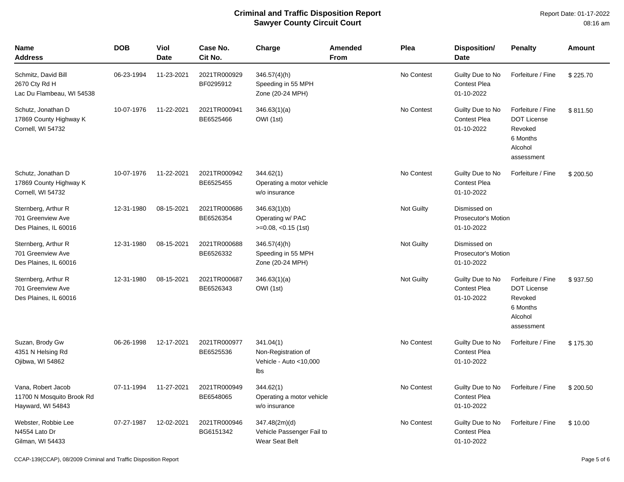Report Date: 01-17-2022 08:16 am

| <b>Name</b><br><b>Address</b>                                        | <b>DOB</b> | Viol<br><b>Date</b> | Case No.<br>Cit No.       | Charge                                                            | Amended<br><b>From</b> | Plea              | Disposition/<br>Date                                  | <b>Penalty</b>                                                                          | <b>Amount</b> |
|----------------------------------------------------------------------|------------|---------------------|---------------------------|-------------------------------------------------------------------|------------------------|-------------------|-------------------------------------------------------|-----------------------------------------------------------------------------------------|---------------|
| Schmitz, David Bill<br>2670 Cty Rd H<br>Lac Du Flambeau, WI 54538    | 06-23-1994 | 11-23-2021          | 2021TR000929<br>BF0295912 | $346.57(4)$ (h)<br>Speeding in 55 MPH<br>Zone (20-24 MPH)         |                        | No Contest        | Guilty Due to No<br><b>Contest Plea</b><br>01-10-2022 | Forfeiture / Fine                                                                       | \$225.70      |
| Schutz, Jonathan D<br>17869 County Highway K<br>Cornell, WI 54732    | 10-07-1976 | 11-22-2021          | 2021TR000941<br>BE6525466 | 346.63(1)(a)<br>OWI (1st)                                         |                        | No Contest        | Guilty Due to No<br><b>Contest Plea</b><br>01-10-2022 | Forfeiture / Fine<br><b>DOT License</b><br>Revoked<br>6 Months<br>Alcohol<br>assessment | \$811.50      |
| Schutz, Jonathan D<br>17869 County Highway K<br>Cornell, WI 54732    | 10-07-1976 | 11-22-2021          | 2021TR000942<br>BE6525455 | 344.62(1)<br>Operating a motor vehicle<br>w/o insurance           |                        | No Contest        | Guilty Due to No<br><b>Contest Plea</b><br>01-10-2022 | Forfeiture / Fine                                                                       | \$200.50      |
| Sternberg, Arthur R<br>701 Greenview Ave<br>Des Plaines, IL 60016    | 12-31-1980 | 08-15-2021          | 2021TR000686<br>BE6526354 | 346.63(1)(b)<br>Operating w/ PAC<br>$>=0.08, <0.15$ (1st)         |                        | <b>Not Guilty</b> | Dismissed on<br>Prosecutor's Motion<br>01-10-2022     |                                                                                         |               |
| Sternberg, Arthur R<br>701 Greenview Ave<br>Des Plaines, IL 60016    | 12-31-1980 | 08-15-2021          | 2021TR000688<br>BE6526332 | $346.57(4)$ (h)<br>Speeding in 55 MPH<br>Zone (20-24 MPH)         |                        | Not Guilty        | Dismissed on<br>Prosecutor's Motion<br>01-10-2022     |                                                                                         |               |
| Sternberg, Arthur R<br>701 Greenview Ave<br>Des Plaines, IL 60016    | 12-31-1980 | 08-15-2021          | 2021TR000687<br>BE6526343 | 346.63(1)(a)<br>OWI (1st)                                         |                        | Not Guilty        | Guilty Due to No<br><b>Contest Plea</b><br>01-10-2022 | Forfeiture / Fine<br><b>DOT License</b><br>Revoked<br>6 Months<br>Alcohol<br>assessment | \$937.50      |
| Suzan, Brody Gw<br>4351 N Helsing Rd<br>Ojibwa, WI 54862             | 06-26-1998 | 12-17-2021          | 2021TR000977<br>BE6525536 | 341.04(1)<br>Non-Registration of<br>Vehicle - Auto <10,000<br>Ibs |                        | No Contest        | Guilty Due to No<br><b>Contest Plea</b><br>01-10-2022 | Forfeiture / Fine                                                                       | \$175.30      |
| Vana, Robert Jacob<br>11700 N Mosquito Brook Rd<br>Hayward, WI 54843 | 07-11-1994 | 11-27-2021          | 2021TR000949<br>BE6548065 | 344.62(1)<br>Operating a motor vehicle<br>w/o insurance           |                        | No Contest        | Guilty Due to No<br><b>Contest Plea</b><br>01-10-2022 | Forfeiture / Fine                                                                       | \$200.50      |
| Webster, Robbie Lee<br>N4554 Lato Dr<br>Gilman, WI 54433             | 07-27-1987 | 12-02-2021          | 2021TR000946<br>BG6151342 | 347.48(2m)(d)<br>Vehicle Passenger Fail to<br>Wear Seat Belt      |                        | No Contest        | Guilty Due to No<br>Contest Plea<br>01-10-2022        | Forfeiture / Fine                                                                       | \$10.00       |

CCAP-139(CCAP), 08/2009 Criminal and Traffic Disposition Report Page 5 of 6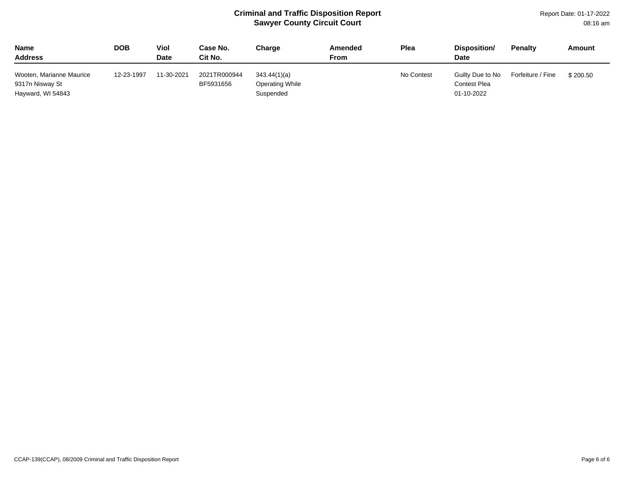Report Date: 01-17-2022 08:16 am

| <b>Name</b><br><b>Address</b>                                    | DOB.       | Viol<br><b>Date</b> | Case No.<br>Cit No.       | Charge                                       | Amended<br>From | Plea       | Disposition/<br><b>Date</b>                           | <b>Penalty</b>    | Amount   |
|------------------------------------------------------------------|------------|---------------------|---------------------------|----------------------------------------------|-----------------|------------|-------------------------------------------------------|-------------------|----------|
| Wooten, Marianne Maurice<br>9317n Nisway St<br>Hayward, WI 54843 | 12-23-1997 | 11-30-2021          | 2021TR000944<br>BF5931656 | 343.44(1)(a)<br>Operating While<br>Suspended |                 | No Contest | Guilty Due to No<br><b>Contest Plea</b><br>01-10-2022 | Forfeiture / Fine | \$200.50 |